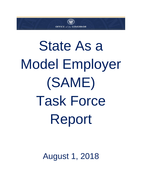

# State As a Model Employer (SAME) Task Force Report

August 1, 2018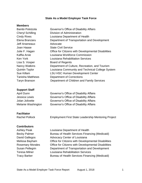#### **State As a Model Employer Task Force**

#### **Members**

| Bambi Polotzola         | Governor's Office of Disability Affairs             |
|-------------------------|-----------------------------------------------------|
| <b>Cheryl Schilling</b> | Division of Administration                          |
| <b>Cindy Rives</b>      | Louisiana Department of Health                      |
| Elena Branzaru          | Department of Transportation and Development        |
| Jeff Arseneaux          | Advocate                                            |
| Joan Haase              | <b>State Civil Service</b>                          |
| Julie F. Hagan          | Office for Citizens with Developmental Disabilities |
| Kaffia Arvie            | Louisiana Workforce Commission                      |
| Ken York                | Louisiana Rehabilitation Services                   |
| Lisa S. Vosper          | <b>Board of Regents</b>                             |
| Nancy Watkins           | Department of Culture, Recreation, and Tourism      |
| <b>Quintin Taylor</b>   | Louisiana Community and Technical College System    |
| Sue Killam              | <b>LSU HSC Human Development Center</b>             |
| Tanisha Matthews        | <b>Department of Corrections</b>                    |
| Taryn Branson           | Department of Children and Family Services          |
|                         |                                                     |

#### **Support Staff**

| Governor's Office of Disability Affairs |
|-----------------------------------------|
| Governor's Office of Disability Affairs |
| Governor's Office of Disability Affairs |
| Governor's Office of Disability Affairs |
|                                         |

#### **Facilitator**

Rachel Pollock Employment First State Leadership Mentoring Project

#### **Contributors**

Ashley Peak Louisiana Department of Health Becky Palmer **Bureau of Health Services Financing (Medicaid)** David Gallegos Advocacy Center of Louisiana Melissa Bayham Office for Citizens with Developmental Disabilities Rosemary Morales Office for Citizens with Developmental Disabilities Susan Pellegrin Department of Transportation and Development Teresa Milner Louisiana Rehabilitation Services Tracy Barker **Bureau of Health Services Financing (Medicaid)**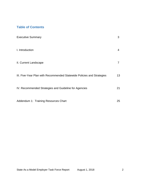# **Table of Contents**

| <b>Executive Summary</b>                                               | 3              |
|------------------------------------------------------------------------|----------------|
| I. Introduction                                                        | 4              |
| II. Current Landscape                                                  | $\overline{7}$ |
| III. Five-Year Plan with Recommended Statewide Policies and Strategies | 13             |
| IV. Recommended Strategies and Guideline for Agencies                  | 21             |
| Addendum 1: Training Resources Chart                                   | 25             |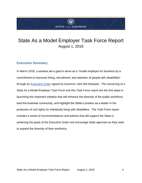

# State As a Model Employer Task Force Report August 1, 2018

# **Executive Summary**

In March 2018, Louisiana set a goal to serve as a "model employer for business by a commitment to improved hiring, recruitment, and retention of people with disabilities" through an [Executive Order](http://gov.louisiana.gov/assets/ExecutiveOrders/JBE-18-08.pdf) signed by Governor John Bel Edwards. The convening of a State As a Model Employer Task Force and this Task Force report are the first steps in launching this important initiative that will enhance the diversity of the public workforce, lead the business community, and highlight the State's position as a leader in the protection of civil rights for individuals living with disabilities. The Task Force report includes a series of recommendations and policies that will support the State in achieving the goals of the Executive Order and encourage State agencies as they seek to expand the diversity of their workforce.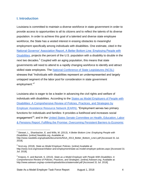# **I. Introduction**

 $\overline{a}$ 

Louisiana is committed to maintain a diverse workforce in state government in order to provide access to opportunities to all its citizens and to reflect the talents of its diverse population. In order to achieve this goal of a talented and diverse state employee workforce, the State has a vested interest in erasing obstacles to meaningful employment specifically among individuals with disabilities. One estimate, cited in the [National Governor' Association Report, A Better Bottom Line: Employing People with](http://www.nasddds.org/uploads/documents/NGA_2013_Better_Bottom_Line1.pdf)  [Disabilities,](http://www.nasddds.org/uploads/documents/NGA_2013_Better_Bottom_Line1.pdf) projects the percent of the U.S. population with a disability to double in the next two decades.<sup>1</sup> Coupled with an aging population, this means that state governments will need to attend to a rapidly changing workforce to identify and attract skilled state employees. The [National Conference of State Legislatures \(NCSL\)](http://www.ncsl.org/research/labor-and-employment/state-as-model-employer-policies.aspx) stresses that "Individuals with disabilities represent an underrepresented and largely untapped segment of the labor pool for consideration in state government employment."<sup>2</sup>

Louisiana also is eager to be a leader in advancing the civil rights and welfare of individuals with disabilities. According to the States as Model Employers of People with [Disabilities: A Comprehensive Review of Policies, Practices, and Strategies by](http://www.askearn.org/wp-content/uploads/docs/statemodel.pdf)  [Employer Assistance Resource Network \(EARN\),](http://www.askearn.org/wp-content/uploads/docs/statemodel.pdf) "Employment serves two primary functions for individuals and families: It provides a livelihood and increases social engagement<sup>"3</sup>; and in the United States Senate Committee on Health, Education, Labor [& Pensions Report: Fulfilling the Promise: Overcoming Persistent Barriers to Economic](http://www.nasuad.org/sites/nasuad/files/HELP%20Committee%20Disability%20and%20Poverty%20Report.pdf) 

<sup>&</sup>lt;sup>1</sup> Stewart, L., Shanbacker, E. and Wills, M. (2013). *A Better Bottom Line: Employing People with Disabilities*. [online] Nasddds.org. Available at:

http://www.nasddds.org/uploads/documents/NGA\_2013\_Better\_Bottom\_Line1.pdf [Accessed 31 Jul. 2018].

<sup>2</sup> Ncsl.org. (2018). *State as Model Employer Policies*. [online] Available at: http://www.ncsl.org/research/labor-and-employment/state-as-model-employer-policies.aspx [Accessed 31 Jul. 2018].

<sup>3</sup> Krepcio, K. and Barnett, S. (2013). *State as a Model Employer with People With Disabilities: A Comprehensive Review of Policies, Practices, and Strategies*. [online] Askearn.org. Available at: http://www.askearn.org/wp-content/uploads/docs/statemodel.pdf [Accessed 31 Jul. 2018].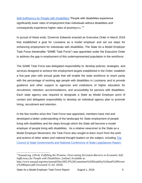[Self-Sufficiency for People with Disabilities "](http://www.nasuad.org/sites/nasuad/files/HELP%20Committee%20Disability%20and%20Poverty%20Report.pdf)People with disabilities experience significantly lower rates of employment than individuals without disabilities and consequently experience higher rates of poverty [RP3] ."4

In pursuit of these ends, Governor Edwards enacted an Executive Order in March 2018 that established a goal for Louisiana as a model employer and set out steps for enhancing employment for individuals with disabilities. The State As a Model Employer Task Force (hereinafter "SAME Task Force") was appointed under the Executive Order to address the gap in employment of this underrepresented population in the workforce.

The SAME Task Force was delegated responsibility to: develop policies, strategies, and services designed to achieve the employment targets established in the Order; establish a five-year plan with annual goals that will enable the state workforce to reach parity with the percentage of working age people with disabilities in Louisiana; and to provide guidance and other support to agencies and institutions of higher education for recruitment, retention, accommodations, and accessibility for persons with disabilities. Each state agency was required to designate a State as Model Employer point of contact and delegated responsibility to develop an individual agency plan to promote hiring, recruitment and retention.

In the few months since this Task Force was appointed, members have met and developed a better understanding of the landscape for State employment of people living with disabilities and the steps through which the State will become a model employer of people living with disabilities. As a relative newcomer to the State as a Model Employer Movement, the Task Force also sought to learn much from the work and actions of other states and national thought-leaders on the subject, including The [Council of State Governments and National Conference of State Legislatures Report:](http://www.ncsl.org/Portals/1/Documents/employ/Work_Matters_Report.pdf) 

 $\overline{a}$ <sup>4</sup> Nasuad.org. (2014). *Fulfilling the Promise: Overcoming Persistent Barriers to Economic Self-Sufficiency for People with Disabilities*. [online] Available at:

http://www.nasuad.org/sites/nasuad/files/HELP%20Committee%20Disability%20and%20Povert y%20Report.pdf [Accessed 31 Jul. 2018].

State As a Model Employer Task Force Report August 1, 2018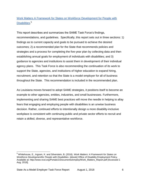# [Work Matters A Framework for States on Workforce Development for People with](http://www.ncsl.org/Portals/1/Documents/employ/Work_Matters_Report.pdf)  [Disabilities.](http://www.ncsl.org/Portals/1/Documents/employ/Work_Matters_Report.pdf)<sup>5</sup>

This report describes and summarizes the SAME Task Force's findings, recommendations, and guidelines. Specifically, this report sets out in three sections: 1) findings as to current capacity and goals to be pursued to achieve the desired outcomes; 2) a recommended plan for the State that recommends policies and strategies and a process for completing the five-year plan by collecting data and then establishing annual goals for employment of individuals with disabilities; and 3) guidance to agencies and institutions to assist them in development of their individual agency plans. This Task Force is also recommending the continuation of its work to support the State, agencies, and institutions of higher education to expand hiring, recruitment, and retention so that the State is a model employer for all of business throughout the State. This recommendation is included in the recommended plan.

As Louisiana moves forward to adopt SAME strategies, it positions itself to become an example to other agencies, entities, industries, and small businesses. Furthermore, implementing and sharing SAME best practices will move the needle in helping to allay fears that engaging and employing people with disabilities is an unwise business decision. Rather, continued efforts to intentionally design a more disability-inclusive workplace is consistent with continuing public and private sector efforts to recruit and retain a skilled, diverse, and representative workforce.

<sup>5</sup> Whitehouse, E., Ingram, K. and Silverstein, B. (2016). *Work Matters: A Framework for States on Workforce Developmentfor People with Disabilities*. [ebook] Office of Disability Employment Policy. Available at: http://www.ncsl.org/Portals/1/Documents/employ/Work\_Matters\_Report.pdf [Accessed 1 Aug. 2018].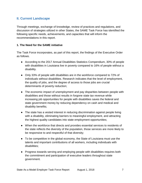# **II. Current Landscape**

Through meetings, exchange of knowledge, review of practices and regulations, and discussion of strategies utilized in other States, the SAME Task Force has identified the following specific needs, achievements, and capacities that will inform the recommendations in this report.

#### **1. The Need for the SAME initiative**

The Task Force incorporates, as part of this report, the findings of the Executive Order as follows.

- According to the 2017 Annual Disabilities Statistics Compendium, 30% of people with disabilities in Louisiana live in poverty compared to 16% of people without a disability.
- Only 33% of people with disabilities are in the workforce compared to 72% of individuals without disabilities. Research indicates that the level of employment, the quality of jobs, and the degree of access to those jobs are crucial determinants of poverty reduction;
- The economic impact of unemployment and pay disparities between people with disabilities and those without results in forgone state tax revenue while increasing job opportunities for people with disabilities saves the federal and state government money by reducing dependency on cash and medical and disability benefits;
- The state has a vested interest in reducing discrimination against people living with a disability, eliminating barriers to meaningful employment, and attracting the highest quality candidates into state employment opportunities;
- When the workforce that directs and provides essential services to residents of the state reflects the diversity of the population, those services are more likely to be responsive to and respectful of that diversity;
- To be competitive in the global economy, the State of Louisiana must use the talents and important contributions of all workers, including individuals with disabilities;
- Progress towards serving and employing people with disabilities requires both the commitment and participation of executive leaders throughout state government.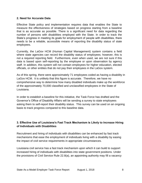#### **2. Need for Accurate Data**

Effective State policy and implementation requires data that enables the State to measure the effectiveness of strategies based on progress starting from a baseline that is as accurate as possible. There is a significant need for data regarding the number of persons with disabilities employed with the State. In order to track the State's progress in meeting its goals for employment of people with disabilities, there needs to be a reliable, accessible means of reporting the disability status of state employees.

Currently, the LaGov HCM (Human Capital Management) system contains a field where state agencies can record the disability status of employees; however, this is not a required reporting field. Furthermore, even when used, we are not sure if this data is based upon self-reporting by the employee or upon observation by agency staff. In addition, this system will not contain employees for higher education, elected officials, or other entities that do not pay their employees in the LaGov system.

As of this spring, there were approximately 71 employees coded as having a disability in LaGov HCM. It is unlikely that this figure is accurate. Therefore, we have no comprehensive way to determine how many disabled individuals make up the workforce of the approximately 70,000 classified and unclassified employees in the State of Louisiana.

In order to establish a baseline for this initiative, the Task Force has drafted and the Governor's Office of Disability Affairs will be sending a survey to state employees asking them to self-report their disability status. This survey can be used on an ongoing basis to track progress compared to this baseline data.

#### **3. Effective Use of Louisiana's Fast Track Mechanism is Likely to Increase Hiring of Individuals with Disabilities**

Recruitment and hiring of individuals with disabilities can be enhanced by fast track mechanisms that ease the employment of individuals living with a disability by easing the impact of civil service requirements in appropriate circumstances.

Louisiana civil service has a fast track mechanism upon which it can build to support increased hiring of individuals with disabilities into state government positions. Under the provisions of Civil Service Rule 22.8(a), an appointing authority may fill a vacancy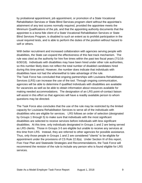by probational appointment, job appointment, or promotion of a State Vocational Rehabilitation Services or State Blind Services program client without the appointee's attainment of any test scores normally required, provided the appointee meets the Minimum Qualifications of the job, and that the appointing authority documents that the appointee is a bona fide client of a State Vocational Rehabilitation Services or State Blind Services Program, is disabled to such an extent as to prohibit participation in the usual required tests, and is able to perform the duties of the position without hazard to self or others.

With better recruitment and increased collaboration with agencies serving people with disabilities, the State can expand the effectiveness of this fast track mechanism. The rule was cited as the authority for hire five times within the past two fiscal years (7/1/16- 6/30/18). Individuals with disabilities may have been hired under other rule authorities, so this number likely does not reflect the total number of disabled candidates hired during this time-period. However, the number does indicate that individuals with disabilities have not had the wherewithal to take advantage of the rule. The Task Force has concluded that ongoing partnerships with Louisiana Rehabilitation Services (LRS) can increase the use of the tool. Through ongoing communication, agencies will be able to determine if qualified Individuals with disabilities are available for vacancies as well as be able to obtain information about resources available for making needed accommodations. The designation of an LRS point-of-contact liaison will assist in this effort so that agencies will have a readily available person to whom questions may be directed.

The Task Force also concludes that the use of the rule may be restricted by the limited capacity for Louisiana Rehabilitation Services to serve all of the individuals with disabilities who are eligible for services. LRS follows an order of selection (designated by Groups 1 through 5) to make sure that individuals with the most significant disabilities are selected to receive services before individuals with less significant disabilities. At this time, only individuals designated in Groups 1 and 2 are being served as LRS clients. Those in Groups 3-5 are eligible but unable to receive any services at this time from LRS. Instead, they are referred to other agencies for possible assistance. Thus, only those people in Groups 1 and 2 are considered "clients" to be eligible for appointment under the provisions of CS Rule 22.8(a). Under Section III of this report, Five-Year Plan and Statewide Strategies and Recommendations, the Task Force will recommend the revision of the rule to include any person who is found eligible for LRS services.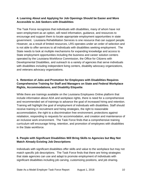#### **4. Learning About and Applying for Job Openings Should be Easier and More Accessible to Job Seekers with Disabilities**

The Task Force recognizes that individuals with disabilities, many of whom have not seen employment as an option, will need information, guidance, and resources to encourage and support them to locate appropriate employment opportunities in state government. Louisiana Rehabilitation Services is one resource that can support people. However, as a result of limited resources, LRS operates under an order of selection and is not able to offer services to all individuals with disabilities seeking employment. The State needs to look at multiple mechanisms for expanding knowledge and access to State employment opportunities including the business and career solution centers operated by the Louisiana Workforce Commission, the Office for Citizens with Developmental Disabilities, and outreach to a variety of agencies that serve individuals with disabilities including independent living centers, disability advocacy organizations, and veterans advocacy organizations.

#### **5. Retention of Jobs and Promotion for Employees with Disabilities Requires Comprehensive Training for Staff and Managers on State and Federal Workplace Rights, Accommodations, and Disability Etiquette**.

While there are trainings available on the Louisiana Employees Online platform that include information about ADA and workplace rights, there is need for a comprehensive and recommended set of trainings to advance the goal of increased hiring and retention. Training will highlight the goal of employment of individuals with disabilities. Staff should receive training in recruitment and hiring strategies, the right to reasonable accommodation, the right to a discrimination free environment, protections against retaliation, responding to requests for accommodation, and creation and maintenance of an inclusive work environment. The Task Force finds that a comprehensive training curriculum will encourage hiring, retention, and promotion of employees with disabilities in the State workforce.

#### **6. People with Significant Disabilities Will Bring Skills to Agencies but May Not Match Already Existing Job Descriptions**

Individuals with significant disabilities offer skills and value to the workplace but may not match specific job descriptions. The Task Force finds that there are hiring strategies that state agencies can use and adapt to promote employment of individuals with significant disabilities including job carving, customizing positions, and job sharing.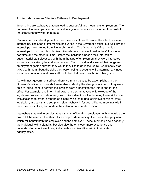#### **7. Internships are an Effective Pathway to Employment**

Internships are pathways that can lead to successful and meaningful employment. The purpose of internships is to help individuals gain experience and sharpen their skills for the career/job they want to pursue.

Recent internship development in the Governor's Office illustrates the effective use of internships. The span of internships has varied in the Governor's office, but typically, the internships have ranged from five to six months. The Governor's Office provided internships to two people with disabilities who are now employed in the Office-- one part-time and the other full-time. Before the individuals began their internships, gubernatorial staff discussed with them the type of employment they were interested in as well as their strengths and experiences. Each individual discussed their long-term employment goals and what they would they like to do in the future. Additionally staff talked with them about the skills they were hoping to acquire while interning, any need for accommodations, and how staff could best help each reach his or her goals.

As with most government offices, there are many tasks to be accomplished in the Governor's office, so once staff were able to identify the strengths of interns, they were able to utilize them to perform tasks which were a best fit for the intern and for the office. For example, one intern had experience as an advocate, knowledge of the legislative process, and data entry skills. As a direct result of learning these skills, she was assigned to prepare reports on disability issues during legislative sessions, track legislation, assist with the setup and sign-in/check-in for council/board meetings within the Governor's office, and update the calendar in a timely fashion.

Internships that lead to employment within an office allow employers to think outside the box to fill the needs within their office and provide meaningful successful employment which will benefit both the employee and the employer. These internships help not only the individual with a disability but also give the employer more experience and understanding about employing individuals with disabilities within their state agency/office.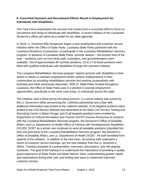#### **8. Concerted Outreach and Recruitment Efforts Result in Employment for Individuals with Disabilities**

The Task Force emphasizes the success that results from a concerted effort to focus on recruitment and hiring of individuals with disabilities. A recent initiative of the Lieutenant Governor's office can serve as a model for our state agencies.

In 2018, Lt. Governor Billy Nungesser began a new employment and customer service initiative within the Office of State Parks. Louisiana State Parks partnered with the Louisiana Workforce Commission, to participate in the Louisiana Rehabilitation Services program. In advance of Louisiana State Parks' summer season – the busiest time of the year – positions such as front desk staff, custodians, and groundskeepers were available. Out of approximately 80 summer positions, 15 to 17 of these positions were filled with qualified individuals with disabilities through this outreach initiative.

The Louisiana Rehabilitation Services program "assists persons with disabilities in their desire to obtain or maintain employment and/or achieve independence in their communities by providing rehabilitation services and working cooperatively with business and other community resources." With 21 State Parks located throughout Louisiana, the Office of State Parks was in a position to provide employment opportunities, specifically in the more rural areas, to individuals across the state.

The initiative used a three-prong recruiting process: 1) a press release was issued by the Lt. Governor's office announcing the LaWorks partnership and a flyer with additional information was posted to the LaWorks website; 2) all targeted positions were posted to the Civil Service Website and advertised at the State Civil Service Testing and Recruiting Center in Baton Rouge; and 3) all targeted positions were emailed by Department of Cultural Recreation and Tourism (DCRT) Human Resources to contacts with the Louisiana Rehabilitation Services program, the Governor's Office of Disability Affairs, and La. Department of Health-Office of Citizens with Developmental Disabilities (OCDD). DCRT as a whole now continues to send all available positions (classified fulltime and part-time) to the Louisiana Rehabilitation Services program, the Governor's Office of Disability Affairs, and La. Department of Health OCDD. All staff benefited from aspects of the initiative. In addition to the new hires, all existing staff underwent a series of customer service trainings, per the new initiative from the Lt. Governor's Office. Training consisted of a presentation, exercises, discussions, and role-playing scenarios. The goal of the training is to understand the importance of providing a quality guest experience at State Parks and State Historic Sites, understanding guests' needs and expectations during their visit, and finding new ways to implement improved customer service.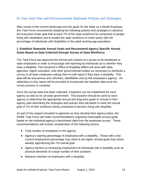# III. Five-Year Plan with Recommended Statewide Policies and Strategies

After review of the current landscape and the goals for the State as a Model Employer, this Task Force recommends adopting the following policies and strategies to advance the Executive Order goal that at least 7% of the state workforce be comprised of people living with disabilities and to enable the state workforce to reach parity with the percentage of individuals with disabilities in the adult working age population.

#### **1. Establish Statewide Annual Goals and Recommend Agency Specific Annual Goals Based on Data Collected through Survey of State Workforce**

The Task Force has approved the format and content of a survey to be distributed to state employees in order to encourage self-reporting by individuals as to whether they have a disability. The Governor's Office of Disability Affairs will work with state agencies, higher education, and other governmental entities as necessary to distribute a survey to all state employees asking them to self-report if they have a disability. This data will be anonymous and voluntary, identifiable only by the employee's agency. An addendum to this report will be provided to incorporate the baseline data once the survey process is complete.

Once the survey data has been collected, a baseline can be established for each agency as well as for all state government. This baseline should be used by each agency to determine the appropriate annual and long-term goals to include in their agency plan describing the strategies and policies they will adopt to meet the overall goal of 7% of their workforce being comprised of persons living with disability.

As part of the support provided to agencies as they develop their agency plans, the SAME Task Force will make recommendations regarding reasonable annual goals based on the individual agency's benchmark data from the employee survey. These recommendations will include consideration of the following factors:

- Total number of employees in the agency
- Agency's starting percentage of employees with a disability. Those with a low current employment percentage may need to set higher annual goals than those already approaching the 7% overall goal
- Agency barriers to increasing employment of individuals with a disability such as physical demands of a large number of their positions
- Measure retention of employees with a disability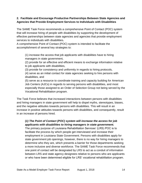#### **2. Facilitate and Encourage Productive Partnerships Between State Agencies and Agencies that Provide Employment Services to Individuals with Disabilities**

The SAME Task Force recommends a comprehensive Point of Contact (POC) system that will increase hiring of people with disabilities by supporting the development of effective partnerships between state agencies and agencies that provide employment services to individuals with disabilities**.**

A comprehensive Point of Contact (POC) system is intended to facilitate the accomplishment of several key strategies to:

(1) increase the access that job applicants with disabilities have to hiring managers in state government,

(2) provide for an effective and efficient means to exchange information relative to job applicants with disabilities,

(3) provide for consistency and uniformity in regards to hiring protocols,

(4) serve as an initial contact for state agencies seeking to hire persons with disabilities, and

(5) serve as a resource to coordinate training and capacity building for American Job Centers (AJCs) in regards to serving persons with disabilities, and most especially those assigned to an Order of Selection Group not being served by the Vocational Rehabilitation program.

The Task Force believes that increased interactions between persons with disabilities and hiring managers in state government will help to dispel myths, stereotypes, biases, and the negative attitudes towards persons with disabilities. This will result in an increase in positive attitudes towards persons with disabilities, and consequently, result in an increase of persons hired.

## **(***1) The Point of Contact (POC) system will increase the access for job applicants with disabilities to hiring managers in state government.*

The primary purpose of Louisiana Rehabilitation Services' (LRS) POC is to facilitate the process by which people get interviewed and increase their employment in Louisiana State Government. Persons with disabilities apply for state government job openings, however, there is no way for hiring managers to determine who they are, which presents a barrier for those departments seeking a more inclusive and diverse workforce. The SAME Task Force recommends that one point of contact will be designated by LRS to act as a conduit of information between LRS and state agency designees relative to persons who are applicants or who have been determined eligible for LRS' vocational rehabilitation program.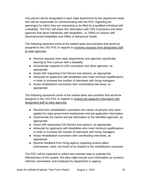One person will be designated in each state department by the department head who will be responsible for communicating with the POC regarding job opening(s) for which they are requesting to be filled by a qualified individual with a disability. The POC will share this information with LRS Counselors and other agencies that serve individuals with disabilities, i.e. Office of Citizens with Developmental Disabilities and Office of Behavioral Health.

The following represent some of the related tasks and activities that would be assigned to the LRS POC in regards to receiving requests from designated staff at state agencies:

- Receive requests from state departments and agencies specifically desiring to hire a person with a disability
- Disseminate requests to LRS counselors and other agencies, as appropriate
- Assist with requesting Civil Service test waivers, as appropriate
- Advocate for applicants with disabilities who meet minimum qualifications in order to increase the number of interviews with hiring managers
- Assist rehabilitation counselors with coordinating interviews, as appropriate

The following represents some of the related tasks and activities that would be assigned to the LRS POC in regards to sharing job applicant information with designated staff at state agencies:

- Receive from rehabilitation counselors the names of persons who have applied for state government employment and job application information
- Disseminate the names and job information to the identified agencies, as appropriate
- Assist with requesting Civil Service test waivers, as appropriate
- Advocate for applicants with disabilities who meet minimum qualifications in order to increase the number of interviews with hiring managers
- Assist rehabilitation counselors with coordinating interviews, as appropriate
- Receive feedback from hiring agency regarding actions taken (interviewed, hired, not hired) to be relayed to the rehabilitation counselor

The POC will be expected to collect and maintain data to evaluate the effectiveness of the system; the data might include such information as numbers referred, interviewed, and employed by department or agency.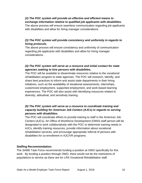#### *(2) The POC system will provide an effective and efficient means to exchange information relative to qualified job applicants with disabilities***.**

The above process will ensure seamless communication regarding job applicants with disabilities and allow for hiring manager considerations.

#### *(3) The POC system will provide consistency and uniformity in regards to hiring protocols.*

The above process will ensure consistency and uniformity of communication regarding job applicants with disabilities and allow for hiring manager considerations.

#### *(4) The POC system will serve as a resource and initial contact for state agencies seeking to hire persons with disabilities***.**

The POC will be available to disseminate resources relative to the vocational rehabilitation program to state agencies. The POC will research, identify, and share best practices to inform and assist state departments in their hiring initiatives, such as the availability of situational assessments, internships, customized employment, supported employment, and work-based learning experiences. The POC will also assist with identifying resources related to diversity, attitudinal, and sensitivity training.

#### *(5) The POC system will serve as a resource to coordinate training and capacity building for American Job Centers (AJCs) in regards to serving persons with disabilities***.**

The POC will coordinate efforts to provide training to staff in the American Job Centers (AJCs). An Office of Workforce Development (OWD) staff person will be designated to work collaboratively with the POC to determine training needs in AJCs, identify training resources, provide information about vocational rehabilitation services, and encourage appropriate referral of persons with disabilities for co-enrollment in AJC/VR programs.

#### **Staffing Recommendation:**

The SAME Task Force recommends funding a position at OWD specifically for this work. By funding a position through OWD, there would not be the restrictions of populations to service as there are for LRS Vocational Rehabilitation staff.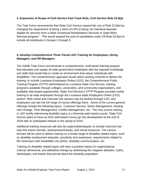#### **3. Expansion of Scope of Civil Service Fast Track Rule, Civil Service Rule 22.8(a)**

The Task Force recommends that State Civil Service expand the use of Rule 22.8(a) by changing the requirement of being a client of LRS to being "an individual deemed eligible for services from a State Vocational Rehabilitation Services or State Blind Services program." This would expand the pool of candidates under CS Rule 22.8(a) to include all individuals in Groups 1 through 5.

#### **4. Develop Comprehensive Three-Tiered LEO Training for Employees, Hiring Managers, and HR Managers**

The SAME Task Force recommends a comprehensive, multi-tiered training program that educates and equips all state government employees with the requisite knowledge and skills that would help to create an environment that values individuals with disabilities. The comprehensive approach would utilize existing methods to deliver the training, to include Louisiana Employees Online (LEO), the Comprehensive Public Training Program (CPTP) administered by Louisiana State Civil Service, training programs available through colleges, universities, and community organizations, and available web-based opportunities. State Civil Service's CPTP Program provides online training to all state employees through the Louisiana State Employees Online (LEO) system. Both online and instructor led classes may be booked through LEO, and employees can see the full range of course offerings there. Some of the current general offerings include the following topics; Customer Service, Stress Management, Dealing with Change, Time Management, Conflict Management, etc. The only current training in LEO briefly referencing disability topics is a Diversity web-based course. State Civil Service plans to have an ADA web-based course go into development at the end of 2018 with an anticipated release in the spring of 2019.

Additional training resources will also be explored/developed, to include instructor led train-the-trainer formats, seminars/workshops, and virtual resources. The various formats will be used to deliver training on a broad range of disability-related topics, such as disability employment etiquette, sensitivity and awareness, requirements related to the Americans with Disabilities Act (ADA), disability communication, etc.

Training on disability related topics will have a positive impact on organizational, cultural, behavioral, and attitudinal change by addressing the negative attitudes, myths, stereotypes, and biases that prevail about the disability population.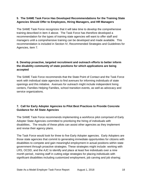#### **5**. **The SAME Task Force Has Developed Recommendations for the Training State Agencies Should Offer to Employees, Hiring Managers, and HR Managers**

The SAME Task Force recognizes that it will take time to develop the comprehensive training described in item 4 above. The Task Force has therefore developed a recommendation for the types of training state agencies will want to offer staff and managers until a comprehensive training can be developed and made available. This recommendation is included in Section IV, Recommended Strategies and Guidelines for Agencies, item 7.

#### **6. Develop proactive, targeted recruitment and outreach efforts to better inform the disability community of state positions for which applications are being accepted**

The SAME Task Force recommends that the State Point of Contact and the Task Force work with individual state agencies to find avenues for informing individuals of state openings and this initiative. Avenues for outreach might include independent living centers, Families Helping Families, school transition events, as well as advocacy and service organizations.

#### **7. Call for Early Adopter Agencies to Pilot Best Practices to Provide Concrete Guidance for All State Agencies**

The SAME Task Force recommends implementing a workforce pilot comprised of Early Adopter State Agencies committed to prioritizing the hiring of individuals with disabilities.. The results of these pilots can assist other agencies as they implement and revise their agency plans.

The Task Force would look for three to five Early Adopter agencies. Early Adopters are those state agencies that commit to generating immediate opportunities for citizens with disabilities to compete and gain meaningful employment in actual positions within state government through proactive strategies. These strategies might include: working with LRS, OCDD, and the AJC to identify and place at least five individuals over a nine month period;, training staff in cutting edge strategies for placing individuals with significant disabilities including customized employment, job carving and job sharing;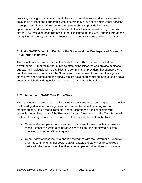providing training to managers in workplace accommodations and disability etiquette; developing at least one partnership with a community provider of employment services to support recruitment efforts; developing partnerships to provide internship opportunities: and developing a mechanism to track hires achieved through the pilot efforts. The results of these pilots would be highlighted at the SAME summit with special recognition of agency efforts and presentation of their strategies and best practices.

#### **8. Host a SAME Summit to Publicize the State as Model Employer and "roll-out" SAME hiring initiatives.**

The Task Force recommends that the State host a SAME summit on or before November 2019 that will further publicize state hiring initiatives and provide additional outreach to individuals with disabilities, the community of providers that support them, and the business community. The Summit will be scheduled for a time after agency plans have been completed, the survey results have been compiled, annual goals have been established, and agencies have begun to implement their plans.

#### **9. Continuation of SAME Task Force Work**

The Task Force recommends that it continue to convene on an ongoing basis to provide continued guidance to State agencies, to oversee the collection, analysis, and monitoring of outcome measurements, and to recommend additional statewide strategies to achieve goals of the Executive Order. Areas in which the Task Force will continue to offer guidance and recommendations include but will not be limited to:

- Oversee the completion of the survey of state employees to obtain a baseline measurement of numbers of individuals with disabilities employed by State agencies and State affiliated agencies;
- Upon review of baseline data and in accordance with the Governor's Executive order, recommend annual goals that will enable the state workforce to reach parity with the percentage of working age people with disabilities in Louisiana;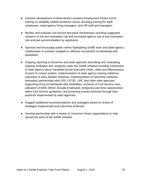- Oversee development of three-tiered Louisiana Employment Online (LEO) training on disability related workforce issues including training for state employees, state agency hiring managers, and HR staff and managers;
- Monitor and evaluate civil service fast-track mechanisms including suggested revisions of the test exemption rule and increased agency use of test exemption rule and test accommodation by applicants;
- Sponsor and encourage public events highlighting SAME work and state agency collaboration in outreach targeted to effective recruitment of individuals with disabilities;
- Ongoing reporting to Governor and state agencies describing and evaluating ongoing strategies and progress under the SAME initiative including submission of state agency plans mandated by the Executive Order, utility and effectiveness of point of contact system, implementation of state agency training initiatives, outcomes of early adopter initiatives, implementation of internship initiatives, exemplary partnerships with LRS, OCDD, LWC and other state agencies supporting hiring of individuals with disabilities, revisions of Civil Service rules, utilization of WAE (When Actually Employed) temporary part-time opportunities within Civil Service guidelines, and promising results achieved through best practices implemented by state agencies;
- Suggest additional recommendations and strategies based on review of strategies implemented and outcomes achieved;
- Develop partnership with a variety of consumer-driven organizations to help spread the word of the SAME initiative.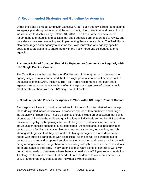# **IV. Recommended Strategies and Guideline for Agencies**

Under the State as Model Employer Executive Order, each agency is required to submit an agency plan designed to expand the recruitment, hiring, retention, and promotion of individuals with disabilities by October 31, 2018. The Task Force has developed recommended strategies and policies that state agencies are encouraged to review and consider as they are developing and implementing these agency plans. The Task Force also encourages each agency to develop their own innovative and agency-specific goals and strategies and to share them with the Task Force and colleagues at other agencies.

#### **1. Agency Point of Contacts Should Be Expected to Communicate Regularly with LRS Single Point of Contact**

The Task Force emphasizes that the effectiveness of the ongoing work between the agency single point of contact and the LRS single point of contact will be important to the success of this SAME initiative. The Task Force recommends that each state agency plan set expectations for how often the agency single point of contact should meet or talk by phone with the LRS single point of contact.

#### **2. Create a Specific Process for Agency to Work with LRS Single Point of Contact**

Each agency will want to provide guidelines for its point of contact that will encourage those designated individuals to take a proactive approach to recruitment and hiring of individuals with disabilities. These guidelines should include an expectation that points of contacts will review the skills and qualifications of individuals served by LRS and then review and highlight job openings that would be good opportunities for particular individuals or specific subsets of LRS candidates. Agencies should expect points of contacts to be familiar with customized employment strategies, job carving, and job sharing strategies so that they can work with hiring managers to match department needs with qualified candidates with disabilities. Agencies will also want points of contacts to understand supported employment job coaching and serve as a liaison with hiring managers to encourage them to work closely with job coaches to help individuals learn and adapt to their jobs. Finally, agencies may want points of contact to work with department heads to determine where there is a need for a WAE (see recommendation 4 below) position and to match that need with a candidate with a disability served by LRS or another agency that supports individuals with disabilities.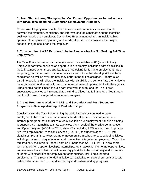#### **3. Train Staff in Hiring Strategies that Can Expand Opportunities for Individuals with Disabilities Including Customized Employment Strategies.**

Customized Employment is a flexible process based on an individualized match between the strengths, conditions, and interests of a job candidate and the identified business needs of an employer. Customized Employment utilizes an individualized approach to employment planning and job development and considers the unique needs of the job seeker and the employer.

### **4. Consider Use of WAE Part-time Jobs for People Who Are Not Seeking Full Time Employment.**

The Task Force recommends that agencies utilize available WAE (When Actually Employed) part-time positions as opportunities to employ individuals with disabilities in those instances when these applicants are not looking for full-time employment. Such temporary, part-time positions can serve as a means to further develop skills in these candidates as well as evaluate how they perform the duties assigned. Ideally, such part-time positions will allow the individuals with disabilities to demonstrate their value to the organization and eventually lead to a more permanent appointment with the agency. Hiring should not be limited to such part-time work though, and the Task Force encourages agencies to hire candidates with disabilities into full-time jobs filled through traditional as well as targeted recruitment strategies.

#### **5. Create Program to Work with LRS, and Secondary and Post-Secondary Programs to Develop Meaningful Paid Internships.**

Consistent with the Task Force finding that paid internships can lead to state employment**,** the Task Force recommends the development of a comprehensive internship program that can utilize already available pre-employment transition funding to support paid internships at state agencies. As a result of the Workforce Innovation and Opportunity Act (WIOA) of 2014, state VRs, including LRS, are required to provide five Pre-Employment Transition Services (Pre-ETS) to students ages 16 - 21 with disabilities. Pre-ETS services promote movement from school to post-school activities, including post-secondary education and competitive, integrated employment. One of the required services is Work Based Learning Experiences (WBLE). WBLE's are shortterm employment, apprenticeships, internships, job shadowing, mentoring opportunities, and work-site tours to learn about necessary job skills in the community and to prepare students with disabilities for employment opportunities, including supported employment. This recommended initiative can capitalize on several current successful collaborations between LRS and secondary and post-secondary programs.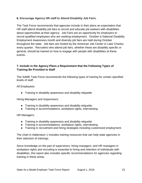#### **6. Encourage Agency HR staff to Attend Disability Job Fairs.**

The Task Force recommends that agencies include in their plans an expectation that HR staff attend disability job fairs to recruit and educate job seekers with disabilities about opportunities at their agency. Job Fairs are an opportunity for employers to recruit qualified employees who are seeking employment. October is National Disability Employment Awareness month and diversity job fairs are held during October throughout the state. Job fairs are hosted by the American Job Center in Lake Charles every quarter. Recruiters who attend job fairs, whether these are disability specific or general, should be trained on how to engage with people with disabilities at these events.

#### **7. Include in the Agency Plans a Requirement that the Following Types of Training Be Provided to Staff**

The SAME Task Force recommends the following types of training for certain specified levels of staff.

All Employees:

● Training in disability awareness and disability etiquette

Hiring Managers and Supervisors:

- Training in disability awareness and disability etiquette.
- Training in accommodations, workplace rights, interviewing

HR Managers:

- Training in disability awareness and disability etiquette
- Training in accommodations, workplace rights, interviewing
- Training in recruitment and hiring strategies including customized employment.

The chart in Addendum 1 includes training resources that can help state agencies in their selection of trainings.

Since knowledge on the part of supervisors, hiring managers, and HR managers in workplace rights and recruiting is essential to hiring and retention of individuals with disabilities, this report also includes specific recommendations for agencies regarding training in these areas.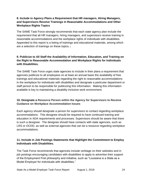#### **8. Include in Agency Plans a Requirement that HR managers, Hiring Managers, and Supervisors Receive Trainings in Reasonable Accommodations and Other Workplace Rights Topics**

The SAME Task Force strongly recommends that each state agency plan include the requirement that all HR managers, hiring managers, and supervisors receive training in reasonable accommodations and the workplace rights of individuals with disabilities. Appended to this report is a listing of trainings and educational materials, among which are a selection of trainings on these topics. [

#### **9. Publicize to All Staff the Availability of Information, Education, and Training on the Right to Reasonable Accommodation and Workplace Rights for Individuals with Disabilities.**

The SAME Task Force urges state agencies to include in their plans a requirement that agencies publicize to all employees on at least an annual basis the availability of free trainings and educational materials regarding the right to reasonable accommodations in the workplace for individuals with disabilities and designate a particular department or staff person to be responsible for publicizing this information. Making this information available is key to maintaining a disability inclusive work environment.

#### **10. Designate a Resource Person within the Agency for Supervisors to Receive Guidance on Workplace Accommodation Issues**

Each agency should designate a person for supervisors to contact regarding workplace accommodations. This designee should be required to have continued training and education in ADA requirements and processes. Supervisors should be aware that there is such a designee. The designee should have contacts with state agencies, such as LRS or OCDD, as well as external agencies that can be a resource regarding workplace accommodations.

#### **11. Include in Job Postings Statements that Highlight the Commitment to Employ Individuals with Disabilities.**

The Task Force recommends that agencies include verbiage on their websites and in job postings encouraging candidates with disabilities to apply to advertise their support of the Employment First philosophy and initiative, such as "Louisiana is a State as a Model Employer for individuals with disabilities."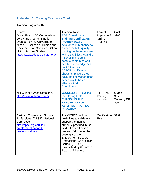# **Addendum 1: Training Resources Chart**

Training Programs (3)

| Source                                                                                                                                                                                                                                | <b>Training Topic</b>                                                                                                                                                                                                                                                                                                                                                                                                                        | Format                              | Cost                                         |
|---------------------------------------------------------------------------------------------------------------------------------------------------------------------------------------------------------------------------------------|----------------------------------------------------------------------------------------------------------------------------------------------------------------------------------------------------------------------------------------------------------------------------------------------------------------------------------------------------------------------------------------------------------------------------------------------|-------------------------------------|----------------------------------------------|
| <b>Great Plains ADA Center while</b><br>policy and programming is<br>overseen by the University of<br>Missouri- College of Human and<br>Environmental Sciences, School<br>of Architectural Studies<br>https://www.adacoordinator.org/ | <b>ADA Coordinator</b><br><b>Training Certification</b><br><b>Program (ACTCP) -</b><br>developed in response to<br>a need for both quality<br>training on the Americans<br>with Disabilities Act and a<br>mechanism to verify<br>completed training and<br>depth of knowledge base<br>on ADA issues.<br><b>ACTCP Certification</b><br>shows employers they<br>have the knowledge base<br>necessary to be an<br>effective ADA<br>Coordinator. | In-person &<br>Online<br>Training   | \$300                                        |
| Milt Wright & Associates, Inc.<br>http://www.miltwright.com/                                                                                                                                                                          | <b>WINDMILLS</b> - Leveling<br>the Playing Field<br><b>CHANGING THE</b><br><b>PERCEPTION OF</b><br><b>ABILITIES TRAINING</b><br><b>PROGRAM</b>                                                                                                                                                                                                                                                                                               | $11 - 1$ hr.<br>training<br>modules | Guide<br>\$550<br><b>Training CD</b><br>\$50 |
| <b>Certified Employment Support</b><br>Professional (CESP) National<br>Certification<br>http://apse.org/certified-<br>employment-support-<br>professional/faq/                                                                        | The CESP™ national<br>guidelines to validate and<br>support the training<br>currently provided in the<br>field. The certification<br>program falls under the<br>oversight of the<br><b>Employment Support</b><br><b>Professional Certification</b><br>Council (ESPCC),<br>established by the APSE<br>Board of Directors.                                                                                                                     | Certification<br>Exam               | \$199                                        |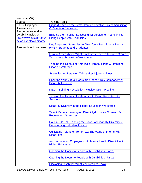Webinars (37)

| Source                        | <b>Training Topic</b>                                                    |  |
|-------------------------------|--------------------------------------------------------------------------|--|
| <b>EARN Employer</b>          | Hiring & Keeping the Best: Creating Effective Talent Acquisition         |  |
| Assistance and                | & Retention Processes                                                    |  |
| <b>Resource Network on</b>    |                                                                          |  |
| <b>Disability Inclusion</b>   | <b>Building the Pipeline: Successful Strategies for Recruiting &amp;</b> |  |
| http://www.askearn.org/       | <b>Hiring People with Disabilities</b>                                   |  |
| news-events/webinars/         |                                                                          |  |
|                               | <b>Key Steps and Strategies for Workforce Recruitment Program</b>        |  |
| <b>Free Archived Webinars</b> | (WRP) Students and Graduates                                             |  |
|                               |                                                                          |  |
|                               | Intro to Accessibility: What Employers Need to Know to Create a          |  |
|                               | <b>Technology Accessible Workplace</b>                                   |  |
|                               |                                                                          |  |
|                               | Tapping the Talents of America's Heroes: Hiring & Retaining              |  |
|                               | <b>Disabled Veterans</b>                                                 |  |
|                               |                                                                          |  |
|                               | <b>Strategies for Retaining Talent after Injury or Illness</b>           |  |
|                               |                                                                          |  |
|                               | <b>Ensuring Your Virtual Doors are Open: A Key Component of</b>          |  |
|                               | <b>Disability Inclusion</b>                                              |  |
|                               |                                                                          |  |
|                               | NILG - Building a Disability-Inclusive Talent Pipeline                   |  |
|                               |                                                                          |  |
|                               | Tapping the Talents of Veterans with Disabilities Steps to               |  |
|                               | <b>Success</b>                                                           |  |
|                               |                                                                          |  |
|                               | <b>Disability Diversity in the Higher Education Workforce</b>            |  |
|                               |                                                                          |  |
|                               | <b>Talent Matters: Leveraging Disability-Inclusive Outreach &amp;</b>    |  |
|                               | <b>Recruitment Strategies</b>                                            |  |
|                               |                                                                          |  |
|                               | Do Ask, Do Tell: Tapping the Power of Disability Diversity &             |  |
|                               | <b>Encouraging Self-Identification</b>                                   |  |
|                               |                                                                          |  |
|                               | <b>Cultivating Talent for Tomorrow: The Value of Interns With</b>        |  |
|                               | <b>Disabilities</b>                                                      |  |
|                               |                                                                          |  |
|                               | Accommodating Employees with Mental Health Disabilities in               |  |
|                               | <b>Higher Education</b>                                                  |  |
|                               |                                                                          |  |
|                               | Opening the Doors to People with Disabilities: Part 1                    |  |
|                               |                                                                          |  |
|                               | Opening the Doors to People with Disabilities: Part 2                    |  |
|                               |                                                                          |  |
|                               | <b>Disclosing Disability: What You Need to Know</b>                      |  |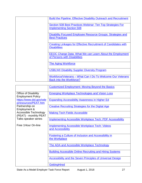| <b>Build the Pipeline: Effective Disability Outreach and Recruitment</b>                        |
|-------------------------------------------------------------------------------------------------|
| Section 508 Best Practices Webinar: Ten Top Strategies For<br><b>Implementing Section 508</b>   |
| Disability Focused Employee Resource Groups: Strategies and<br><b>Best Practices</b>            |
| Creating Linkages for Effective Recruitment of Candidates with<br><b>Disabilities</b>           |
| <b>EEOC Charge Data: What We can Learn About the Employment</b><br>of Persons with Disabilities |
| <b>The Aging Workforce</b>                                                                      |
| <b>USBLN® Disability Supplier Diversity Program</b>                                             |
| Workforce/Veterans - What Can I Do To Welcome Our Veterans<br><b>Back into the Workforce?</b>   |

|                              | <b>Customized Employment: Moving Beyond the Basics</b>            |
|------------------------------|-------------------------------------------------------------------|
| <b>Office of Disability</b>  | <b>Emerging Workplace Technologies and Vision Loss</b>            |
| <b>Employment Policy</b>     |                                                                   |
| https://www.dol.gov/ode      | <b>Expanding Accessibility Awareness in Higher Ed</b>             |
| p/resources/PEAT.htm         |                                                                   |
| Partnership on               | <b>Creative Recruiting Strategies for the Digital Age</b>         |
| Employment &                 |                                                                   |
| <b>Accessible Technology</b> | <b>Making Tech Fields Accessible</b>                              |
| (PEAT) - monthly PEAT        |                                                                   |
| Talks speaker series         | <b>Implementing Accessible Workplace Tech: PDF Accessibility</b>  |
| Free 1Hour On-line           |                                                                   |
|                              | <b>Implementing Accessible Workplace Tech: Videos</b>             |
|                              | and Accessibility                                                 |
|                              | <b>Fostering a Culture of Inclusion and Accessibility in</b>      |
|                              | the Workplace                                                     |
|                              |                                                                   |
|                              | The ADA and Accessible Workplace Technology                       |
|                              |                                                                   |
|                              | <b>Building Accessible Online Recruiting and Hiring Systems</b>   |
|                              |                                                                   |
|                              | <b>Accessibility and the Seven Principles of Universal Design</b> |
|                              |                                                                   |
|                              | <b>GettingHired</b>                                               |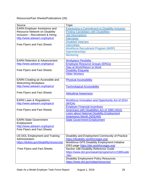Resources/Fact Sheets/Publications (26)

| Source                                   | <b>Topic</b>                                            |
|------------------------------------------|---------------------------------------------------------|
| <b>EARN Employer Assistance and</b>      | <b>Expressing a Commitment to Disability Inclusion</b>  |
| <b>Resource Network on Disability</b>    | <b>Finding Candidates with Disabilities</b>             |
| Inclusion - Recruitment & Hiring         | <b>Job Descriptions</b>                                 |
| http://www.askearn.org/topics/           | <b>Interviews</b>                                       |
|                                          | <b>Disabled Veterans</b>                                |
| <b>Free Flyers and Fact Sheets</b>       | <b>Internships</b>                                      |
|                                          | <b>Workforce Recruitment Program (WRP)</b>              |
|                                          | Apprenticeships                                         |
|                                          | <b>Mentoring</b>                                        |
| <b>EARN Retention &amp; Advancement</b>  | <b>Workplace Flexibility</b>                            |
| http://www.askearn.org/topics/           | <b>Employee Resource Groups (ERGs)</b>                  |
|                                          | <b>Stay at Work/Return to Work</b>                      |
| <b>Free Flyers and Fact Sheets</b>       | <b>Disability Etiquette</b>                             |
|                                          | <b>Older Workers</b>                                    |
|                                          |                                                         |
| <b>EARN Creating an Accessible and</b>   | <b>Physical Accessibility</b>                           |
| <b>Welcoming Workplace</b>               |                                                         |
| http://www.askearn.org/topics/           | <b>Technological Accessibility</b>                      |
|                                          |                                                         |
| <b>Free Flyers and Fact Sheets</b>       | <b>Attitudinal Awareness</b>                            |
|                                          |                                                         |
| <b>EARN Laws &amp; Regulations</b>       | <b>Workforce Innovation and Opportunity Act of 2014</b> |
| http://www.askearn.org/topics/           | (WIOA)                                                  |
|                                          | <b>Employer Financial Incentives</b>                    |
| <b>Free Flyers and Fact Sheets</b>       | Americans with Disabilities Act of 1990 (ADA)           |
|                                          | <b>Learn about National Disability Employment</b>       |
|                                          | <b>Awareness Month (NDEAM)</b>                          |
| <b>EARN State Government</b>             | <b>State Government Employment</b>                      |
| Employment                               |                                                         |
| http://www.askearn.org/topics/           |                                                         |
| <b>Free Flyers and Fact Sheets</b>       |                                                         |
|                                          |                                                         |
| US DOL Employment and Training           | Disability and Employment Community of Practice         |
| Administration                           | https://disability.workforcegps.org/                    |
| https://doleta.gov/disability/resources/ | Workforce GPS Disability Employment Initiative          |
|                                          | (DEI) page https://dei.workforcegps.org/                |
| <b>Free Flyers and Fact Sheets</b>       | Section 188 Disability Reference Guide                  |
|                                          | https://www.dol.gov/oasam/programs/crc/188Guide<br>.htm |
|                                          | <b>Disability Employment Policy Resources</b>           |
|                                          | https://www.dol.gov/odep/resources/                     |
|                                          |                                                         |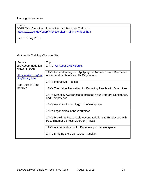#### Training Video Series

Source

ODEP Workforce Recruitment Program Recruiter Training <https://www.dol.gov/odep/wrp/Recruiter-Training-Videos.htm>

Free Training Video

Multimedia Training Microsite (10)

| Source                   | <b>Topic</b>                                                      |
|--------------------------|-------------------------------------------------------------------|
| <b>Job Accommodation</b> | <b>JAN's All About JAN Module.</b>                                |
| Network (JAN)            |                                                                   |
|                          | JAN's Understanding and Applying the Americans with Disabilities  |
| https://askjan.org/trai  | Act Amendments Act and Its Regulations                            |
| ning/library.htm         |                                                                   |
|                          | <b>JAN's Interactive Process</b>                                  |
| Free Just-in-Time        |                                                                   |
| <b>Modules</b>           | JAN's The Value Proposition for Engaging People with Disabilities |
|                          | JAN's Disability Awareness to Increase Your Comfort, Confidence,  |
|                          | and Competence                                                    |
|                          | JAN's Assistive Technology in the Workplace                       |
|                          | JAN's Ergonomics in the Workplace                                 |
|                          | JAN's Providing Reasonable Accommodations to Employees with       |
|                          | Post-Traumatic Stress Disorder (PTSD)                             |
|                          | JAN's Accommodations for Brain Injury in the Workplace            |
|                          | JAN's Bridging the Gap Across Transition                          |